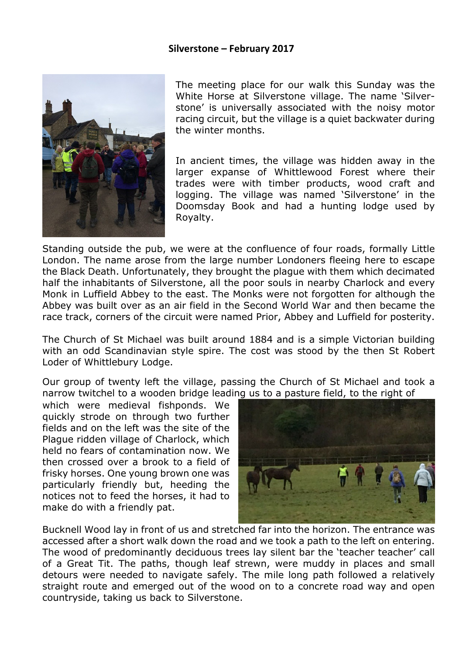## **Silverstone – February 2017**



The meeting place for our walk this Sunday was the White Horse at Silverstone village. The name 'Silverstone' is universally associated with the noisy motor racing circuit, but the village is a quiet backwater during the winter months.

In ancient times, the village was hidden away in the larger expanse of Whittlewood Forest where their trades were with timber products, wood craft and logging. The village was named 'Silverstone' in the Doomsday Book and had a hunting lodge used by Royalty.

Standing outside the pub, we were at the confluence of four roads, formally Little London. The name arose from the large number Londoners fleeing here to escape the Black Death. Unfortunately, they brought the plague with them which decimated half the inhabitants of Silverstone, all the poor souls in nearby Charlock and every Monk in Luffield Abbey to the east. The Monks were not forgotten for although the Abbey was built over as an air field in the Second World War and then became the race track, corners of the circuit were named Prior, Abbey and Luffield for posterity.

The Church of St Michael was built around 1884 and is a simple Victorian building with an odd Scandinavian style spire. The cost was stood by the then St Robert Loder of Whittlebury Lodge.

Our group of twenty left the village, passing the Church of St Michael and took a narrow twitchel to a wooden bridge leading us to a pasture field, to the right of

which were medieval fishponds. We quickly strode on through two further fields and on the left was the site of the Plague ridden village of Charlock, which held no fears of contamination now. We then crossed over a brook to a field of frisky horses. One young brown one was particularly friendly but, heeding the notices not to feed the horses, it had to make do with a friendly pat.



Bucknell Wood lay in front of us and stretched far into the horizon. The entrance was accessed after a short walk down the road and we took a path to the left on entering. The wood of predominantly deciduous trees lay silent bar the 'teacher teacher' call of a Great Tit. The paths, though leaf strewn, were muddy in places and small detours were needed to navigate safely. The mile long path followed a relatively straight route and emerged out of the wood on to a concrete road way and open countryside, taking us back to Silverstone.